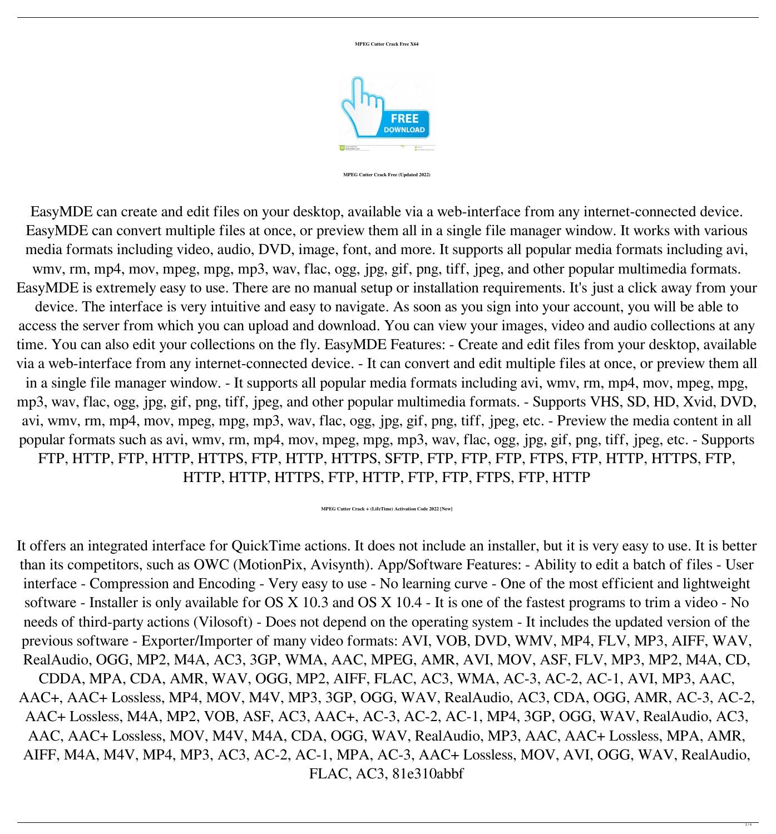#### **MPEG Cutter Crack Free X64**



#### **MPEG Cutter Crack Free (Updated 2022)**

EasyMDE can create and edit files on your desktop, available via a web-interface from any internet-connected device. EasyMDE can convert multiple files at once, or preview them all in a single file manager window. It works with various media formats including video, audio, DVD, image, font, and more. It supports all popular media formats including avi, wmv, rm, mp4, mov, mpeg, mpg, mp3, wav, flac, ogg, jpg, gif, png, tiff, jpeg, and other popular multimedia formats. EasyMDE is extremely easy to use. There are no manual setup or installation requirements. It's just a click away from your device. The interface is very intuitive and easy to navigate. As soon as you sign into your account, you will be able to access the server from which you can upload and download. You can view your images, video and audio collections at any time. You can also edit your collections on the fly. EasyMDE Features: - Create and edit files from your desktop, available via a web-interface from any internet-connected device. - It can convert and edit multiple files at once, or preview them all in a single file manager window. - It supports all popular media formats including avi, wmv, rm, mp4, mov, mpeg, mpg, mp3, wav, flac, ogg, jpg, gif, png, tiff, jpeg, and other popular multimedia formats. - Supports VHS, SD, HD, Xvid, DVD, avi, wmv, rm, mp4, mov, mpeg, mpg, mp3, wav, flac, ogg, jpg, gif, png, tiff, jpeg, etc. - Preview the media content in all popular formats such as avi, wmv, rm, mp4, mov, mpeg, mpg, mp3, wav, flac, ogg, jpg, gif, png, tiff, jpeg, etc. - Supports FTP, HTTP, FTP, HTTP, HTTPS, FTP, HTTP, HTTPS, SFTP, FTP, FTP, FTP, FTPS, FTP, HTTP, HTTPS, FTP, HTTP, HTTP, HTTPS, FTP, HTTP, FTP, FTP, FTPS, FTP, HTTP

### **MPEG Cutter Crack + (LifeTime) Activation Code 2022 [New]**

It offers an integrated interface for QuickTime actions. It does not include an installer, but it is very easy to use. It is better than its competitors, such as OWC (MotionPix, Avisynth). App/Software Features: - Ability to edit a batch of files - User interface - Compression and Encoding - Very easy to use - No learning curve - One of the most efficient and lightweight software - Installer is only available for OS X 10.3 and OS X 10.4 - It is one of the fastest programs to trim a video - No needs of third-party actions (Vilosoft) - Does not depend on the operating system - It includes the updated version of the previous software - Exporter/Importer of many video formats: AVI, VOB, DVD, WMV, MP4, FLV, MP3, AIFF, WAV, RealAudio, OGG, MP2, M4A, AC3, 3GP, WMA, AAC, MPEG, AMR, AVI, MOV, ASF, FLV, MP3, MP2, M4A, CD, CDDA, MPA, CDA, AMR, WAV, OGG, MP2, AIFF, FLAC, AC3, WMA, AC-3, AC-2, AC-1, AVI, MP3, AAC, AAC+, AAC+ Lossless, MP4, MOV, M4V, MP3, 3GP, OGG, WAV, RealAudio, AC3, CDA, OGG, AMR, AC-3, AC-2, AAC+ Lossless, M4A, MP2, VOB, ASF, AC3, AAC+, AC-3, AC-2, AC-1, MP4, 3GP, OGG, WAV, RealAudio, AC3,

# AAC, AAC+ Lossless, MOV, M4V, M4A, CDA, OGG, WAV, RealAudio, MP3, AAC, AAC+ Lossless, MPA, AMR, AIFF, M4A, M4V, MP4, MP3, AC3, AC-2, AC-1, MPA, AC-3, AAC+ Lossless, MOV, AVI, OGG, WAV, RealAudio,

### FLAC, AC3, 81e310abbf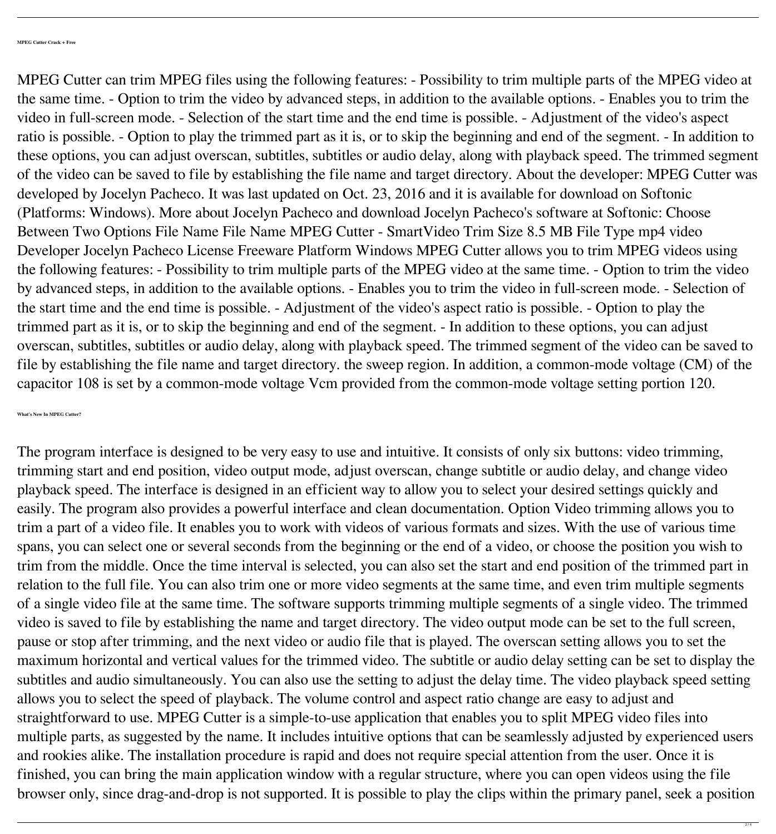MPEG Cutter can trim MPEG files using the following features: - Possibility to trim multiple parts of the MPEG video at the same time. - Option to trim the video by advanced steps, in addition to the available options. - Enables you to trim the video in full-screen mode. - Selection of the start time and the end time is possible. - Adjustment of the video's aspect ratio is possible. - Option to play the trimmed part as it is, or to skip the beginning and end of the segment. - In addition to these options, you can adjust overscan, subtitles, subtitles or audio delay, along with playback speed. The trimmed segment of the video can be saved to file by establishing the file name and target directory. About the developer: MPEG Cutter was developed by Jocelyn Pacheco. It was last updated on Oct. 23, 2016 and it is available for download on Softonic (Platforms: Windows). More about Jocelyn Pacheco and download Jocelyn Pacheco's software at Softonic: Choose Between Two Options File Name File Name MPEG Cutter - SmartVideo Trim Size 8.5 MB File Type mp4 video Developer Jocelyn Pacheco License Freeware Platform Windows MPEG Cutter allows you to trim MPEG videos using the following features: - Possibility to trim multiple parts of the MPEG video at the same time. - Option to trim the video by advanced steps, in addition to the available options. - Enables you to trim the video in full-screen mode. - Selection of the start time and the end time is possible. - Adjustment of the video's aspect ratio is possible. - Option to play the trimmed part as it is, or to skip the beginning and end of the segment. - In addition to these options, you can adjust overscan, subtitles, subtitles or audio delay, along with playback speed. The trimmed segment of the video can be saved to file by establishing the file name and target directory. the sweep region. In addition, a common-mode voltage (CM) of the capacitor 108 is set by a common-mode voltage Vcm provided from the common-mode voltage setting portion 120.

**What's New In MPEG Cutter?**

The program interface is designed to be very easy to use and intuitive. It consists of only six buttons: video trimming, trimming start and end position, video output mode, adjust overscan, change subtitle or audio delay, and change video playback speed. The interface is designed in an efficient way to allow you to select your desired settings quickly and easily. The program also provides a powerful interface and clean documentation. Option Video trimming allows you to trim a part of a video file. It enables you to work with videos of various formats and sizes. With the use of various time spans, you can select one or several seconds from the beginning or the end of a video, or choose the position you wish to trim from the middle. Once the time interval is selected, you can also set the start and end position of the trimmed part in relation to the full file. You can also trim one or more video segments at the same time, and even trim multiple segments of a single video file at the same time. The software supports trimming multiple segments of a single video. The trimmed video is saved to file by establishing the name and target directory. The video output mode can be set to the full screen, pause or stop after trimming, and the next video or audio file that is played. The overscan setting allows you to set the maximum horizontal and vertical values for the trimmed video. The subtitle or audio delay setting can be set to display the subtitles and audio simultaneously. You can also use the setting to adjust the delay time. The video playback speed setting allows you to select the speed of playback. The volume control and aspect ratio change are easy to adjust and straightforward to use. MPEG Cutter is a simple-to-use application that enables you to split MPEG video files into

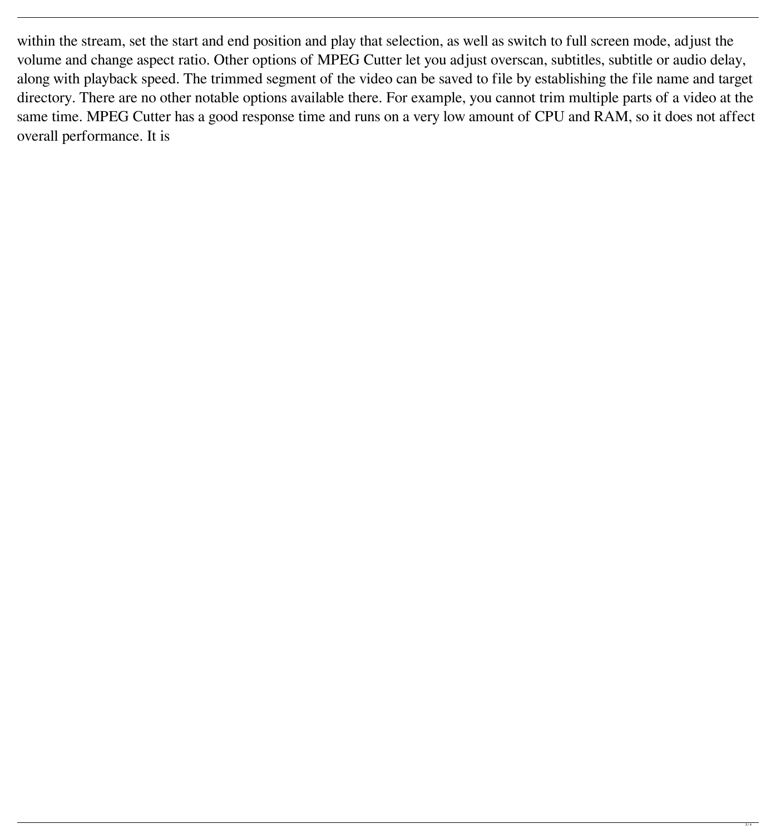within the stream, set the start and end position and play that selection, as well as switch to full screen mode, adjust the volume and change aspect ratio. Other options of MPEG Cutter let you adjust overscan, subtitles, subtitle or audio delay, along with playback speed. The trimmed segment of the video can be saved to file by establishing the file name and target directory. There are no other notable options available there. For example, you cannot trim multiple parts of a video at the same time. MPEG Cutter has a good response time and runs on a very low amount of CPU and RAM, so it does not affect overall performance. It is